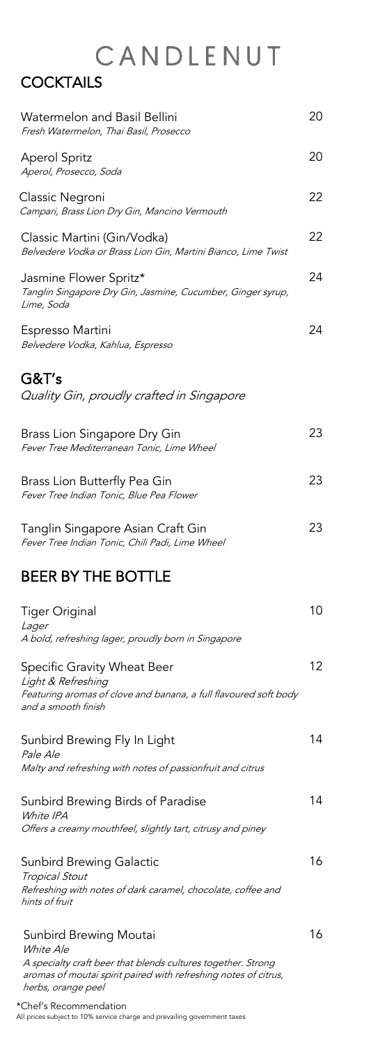### **COCKTAILS**

| Watermelon and Basil Bellini<br>Fresh Watermelon, Thai Basil, Prosecco                                                                       | 20 |
|----------------------------------------------------------------------------------------------------------------------------------------------|----|
| <b>Aperol Spritz</b><br>Aperol, Prosecco, Soda                                                                                               | 20 |
| Classic Negroni<br>Campari, Brass Lion Dry Gin, Mancino Vermouth                                                                             | 22 |
| Classic Martini (Gin/Vodka)<br>Belvedere Vodka or Brass Lion Gin, Martini Bianco, Lime Twist                                                 | 22 |
| Jasmine Flower Spritz*<br>Tanglin Singapore Dry Gin, Jasmine, Cucumber, Ginger syrup,<br>Lime, Soda                                          | 24 |
| Espresso Martini<br>Belvedere Vodka, Kahlua, Espresso                                                                                        | 24 |
| G&T's<br>Quality Gin, proudly crafted in Singapore                                                                                           |    |
| Brass Lion Singapore Dry Gin<br>Fever Tree Mediterranean Tonic, Lime Wheel                                                                   | 23 |
| Brass Lion Butterfly Pea Gin<br>Fever Tree Indian Tonic, Blue Pea Flower                                                                     | 23 |
| Tanglin Singapore Asian Craft Gin<br>Fever Tree Indian Tonic, Chili Padi, Lime Wheel                                                         | 23 |
| <b>BEER BY THE BOTTLE</b>                                                                                                                    |    |
| <b>Tiger Original</b><br><i>Lager</i><br>A bold, refreshing lager, proudly born in Singapore                                                 | 10 |
| Specific Gravity Wheat Beer<br>Light & Refreshing<br>Featuring aromas of clove and banana, a full flavoured soft body<br>and a smooth finish | 12 |
| Sunbird Brewing Fly In Light                                                                                                                 | 14 |

Pale Ale Malty and refreshing with notes of passionfruit and citrus

Sunbird Brewing Birds of Paradise White IPA Offers a creamy mouthfeel, slightly tart, citrusy and piney 14

#### Sunbird Brewing Galactic Tropical Stout Refreshing with notes of dark caramel, chocolate, coffee and hints of fruit 16

#### Sunbird Brewing Moutai White Ale

A specialty craft beer that blends cultures together. Strong aromas of moutai spirit paired with refreshing notes of citrus, herbs, orange peel

\*Chef's Recommendation All prices subject to 10% service charge and prevailing government taxes 16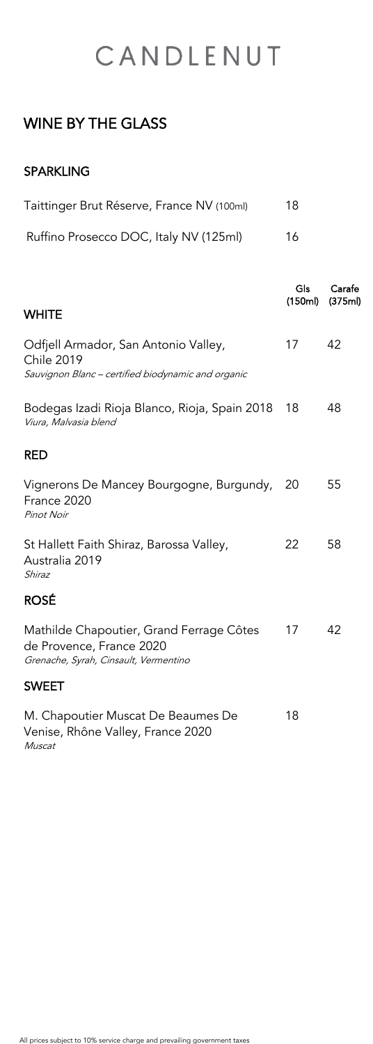## WINE BY THE GLASS

### SPARKLING

| Taittinger Brut Réserve, France NV (100ml) | 18 |
|--------------------------------------------|----|
| Ruffino Prosecco DOC, Italy NV (125ml)     | 16 |

|                                                                                                                 | Gls<br>(150ml) | Carafe<br>(375ml) |
|-----------------------------------------------------------------------------------------------------------------|----------------|-------------------|
| <b>WHITE</b>                                                                                                    |                |                   |
| Odfjell Armador, San Antonio Valley,<br><b>Chile 2019</b><br>Sauvignon Blanc - certified biodynamic and organic | 17             | 42                |
| Bodegas Izadi Rioja Blanco, Rioja, Spain 2018<br>Viura, Malvasia blend                                          | 18             | 48                |
| <b>RED</b>                                                                                                      |                |                   |
| Vignerons De Mancey Bourgogne, Burgundy,<br>France 2020<br><b>Pinot Noir</b>                                    | 20             | 55                |
| St Hallett Faith Shiraz, Barossa Valley,<br>Australia 2019<br>Shiraz                                            | 22             | 58                |
| <b>ROSÉ</b>                                                                                                     |                |                   |
| Mathilde Chapoutier, Grand Ferrage Côtes<br>de Provence, France 2020<br>Grenache, Syrah, Cinsault, Vermentino   | 17             | 42                |
| <b>SWEET</b>                                                                                                    |                |                   |
| M. Chapoutier Muscat De Beaumes De<br>Venise, Rhône Valley, France 2020                                         | 18             |                   |

All prices subject to 10% service charge and prevailing government taxes

Muscat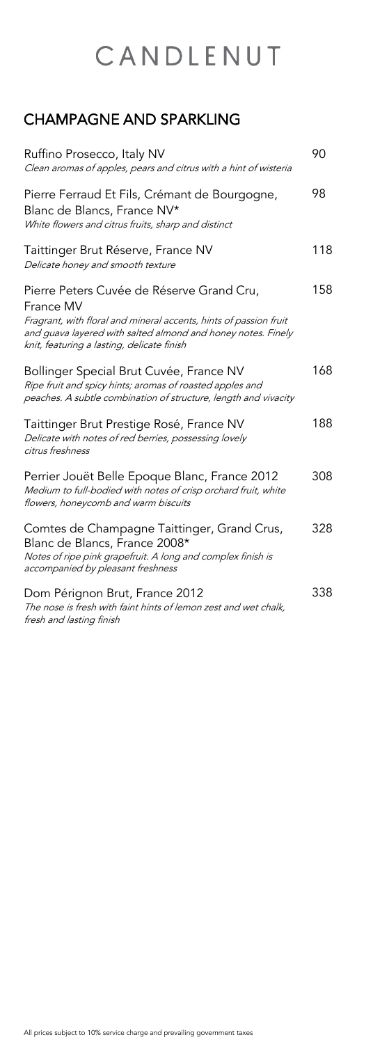## CHAMPAGNE AND SPARKLING

| Ruffino Prosecco, Italy NV<br>Clean aromas of apples, pears and citrus with a hint of wisteria                                                                                                                                            | 90  |
|-------------------------------------------------------------------------------------------------------------------------------------------------------------------------------------------------------------------------------------------|-----|
| Pierre Ferraud Et Fils, Crémant de Bourgogne,<br>Blanc de Blancs, France NV*<br>White flowers and citrus fruits, sharp and distinct                                                                                                       | 98  |
| Taittinger Brut Réserve, France NV<br>Delicate honey and smooth texture                                                                                                                                                                   | 118 |
| Pierre Peters Cuvée de Réserve Grand Cru,<br>France MV<br>Fragrant, with floral and mineral accents, hints of passion fruit<br>and guava layered with salted almond and honey notes. Finely<br>knit, featuring a lasting, delicate finish | 158 |
| Bollinger Special Brut Cuvée, France NV<br>Ripe fruit and spicy hints; aromas of roasted apples and<br>peaches. A subtle combination of structure, length and vivacity                                                                    | 168 |
| Taittinger Brut Prestige Rosé, France NV<br>Delicate with notes of red berries, possessing lovely<br>citrus freshness                                                                                                                     | 188 |
| Perrier Jouët Belle Epoque Blanc, France 2012<br>Medium to full-bodied with notes of crisp orchard fruit, white<br>flowers, honeycomb and warm biscuits                                                                                   | 308 |
| Comtes de Champagne Taittinger, Grand Crus,<br>Blanc de Blancs, France 2008*<br>Notes of ripe pink grapefruit. A long and complex finish is<br>accompanied by pleasant freshness                                                          | 328 |
| Dom Pérignon Brut, France 2012<br>The nose is fresh with faint hints of lemon zest and wet chalk,<br>fresh and lasting finish                                                                                                             | 338 |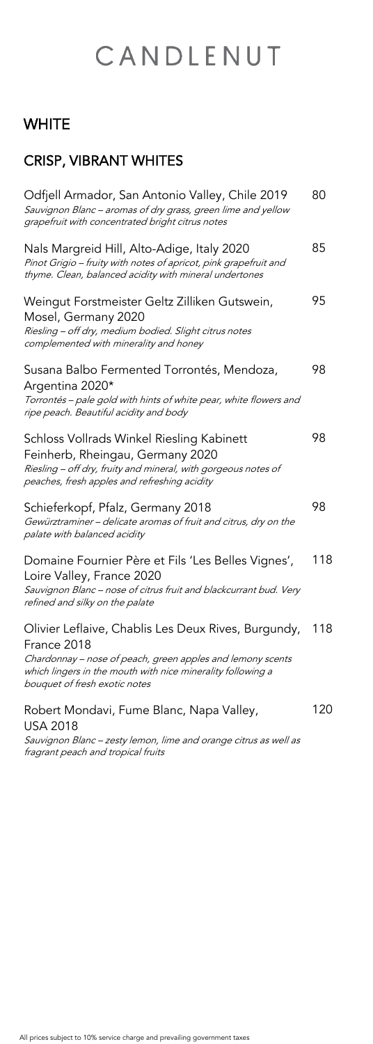## **WHITE**

## CRISP, VIBRANT WHITES

vignon Blanc – zesty lemon, lime and orange citrus as well as fragrant peach and tropical fruits

| Odfjell Armador, San Antonio Valley, Chile 2019<br>Sauvignon Blanc - aromas of dry grass, green lime and yellow<br>grapefruit with concentrated bright citrus notes                                                              | 80  |
|----------------------------------------------------------------------------------------------------------------------------------------------------------------------------------------------------------------------------------|-----|
| Nals Margreid Hill, Alto-Adige, Italy 2020<br>Pinot Grigio - fruity with notes of apricot, pink grapefruit and<br>thyme. Clean, balanced acidity with mineral undertones                                                         | 85  |
| Weingut Forstmeister Geltz Zilliken Gutswein,<br>Mosel, Germany 2020<br>Riesling - off dry, medium bodied. Slight citrus notes<br>complemented with minerality and honey                                                         | 95  |
| Susana Balbo Fermented Torrontés, Mendoza,<br>Argentina 2020*<br>Torrontés - pale gold with hints of white pear, white flowers and<br>ripe peach. Beautiful acidity and body                                                     | 98  |
| Schloss Vollrads Winkel Riesling Kabinett<br>Feinherb, Rheingau, Germany 2020<br>Riesling - off dry, fruity and mineral, with gorgeous notes of<br>peaches, fresh apples and refreshing acidity                                  | 98  |
| Schieferkopf, Pfalz, Germany 2018<br>Gewürztraminer - delicate aromas of fruit and citrus, dry on the<br>palate with balanced acidity                                                                                            | 98  |
| Domaine Fournier Père et Fils 'Les Belles Vignes',<br>Loire Valley, France 2020<br>Sauvignon Blanc - nose of citrus fruit and blackcurrant bud. Very<br>refined and silky on the palate                                          | 118 |
| Olivier Leflaive, Chablis Les Deux Rives, Burgundy,<br>France 2018<br>Chardonnay – nose of peach, green apples and lemony scents<br>which lingers in the mouth with nice minerality following a<br>bouquet of fresh exotic notes | 118 |
| Robert Mondavi, Fume Blanc, Napa Valley,<br><b>USA 2018</b><br>Sauvignon Blanc – zesty lemon, lime and orange citrus as well as                                                                                                  | 120 |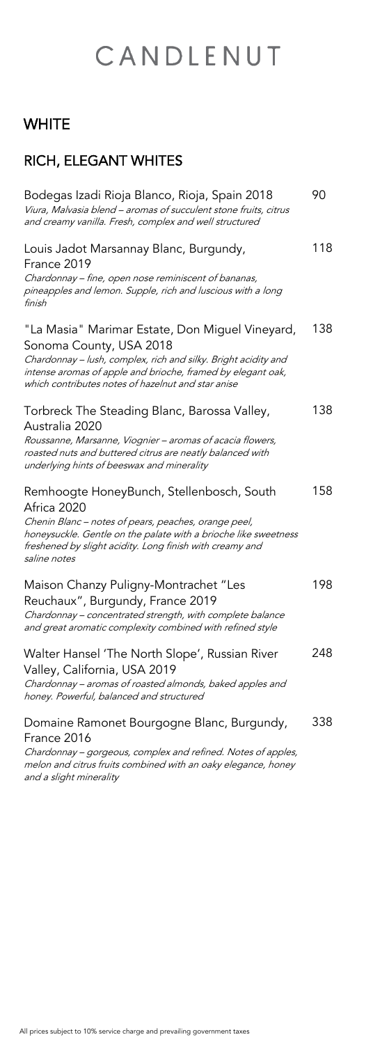## **WHITE**

## RICH, ELEGANT WHITES

| Bodegas Izadi Rioja Blanco, Rioja, Spain 2018<br>Viura, Malvasia blend - aromas of succulent stone fruits, citrus<br>and creamy vanilla. Fresh, complex and well structured                                                                                       | 90  |
|-------------------------------------------------------------------------------------------------------------------------------------------------------------------------------------------------------------------------------------------------------------------|-----|
| Louis Jadot Marsannay Blanc, Burgundy,<br>France 2019<br>Chardonnay – fine, open nose reminiscent of bananas,<br>pineapples and lemon. Supple, rich and luscious with a long<br>finish                                                                            | 118 |
| "La Masia" Marimar Estate, Don Miguel Vineyard,<br>Sonoma County, USA 2018<br>Chardonnay - lush, complex, rich and silky. Bright acidity and<br>intense aromas of apple and brioche, framed by elegant oak,<br>which contributes notes of hazelnut and star anise | 138 |
| Torbreck The Steading Blanc, Barossa Valley,<br>Australia 2020<br>Roussanne, Marsanne, Viognier - aromas of acacia flowers,<br>roasted nuts and buttered citrus are neatly balanced with<br>underlying hints of beeswax and minerality                            | 138 |
| Remhoogte HoneyBunch, Stellenbosch, South<br>Africa 2020<br>Chenin Blanc - notes of pears, peaches, orange peel,<br>honeysuckle. Gentle on the palate with a brioche like sweetness<br>freshened by slight acidity. Long finish with creamy and<br>saline notes   | 158 |
| Maison Chanzy Puligny-Montrachet "Les<br>Reuchaux", Burgundy, France 2019<br>Chardonnay - concentrated strength, with complete balance<br>and great aromatic complexity combined with refined style                                                               | 198 |
| Walter Hansel 'The North Slope', Russian River<br>Valley, California, USA 2019<br>Chardonnay - aromas of roasted almonds, baked apples and<br>honey. Powerful, balanced and structured                                                                            | 248 |
| Domaine Ramonet Bourgogne Blanc, Burgundy,<br>France 2016<br>Chardonnay - gorgeous, complex and refined. Notes of apples,<br>melon and citrus fruits combined with an oaky elegance, honey<br>and a slight minerality                                             | 338 |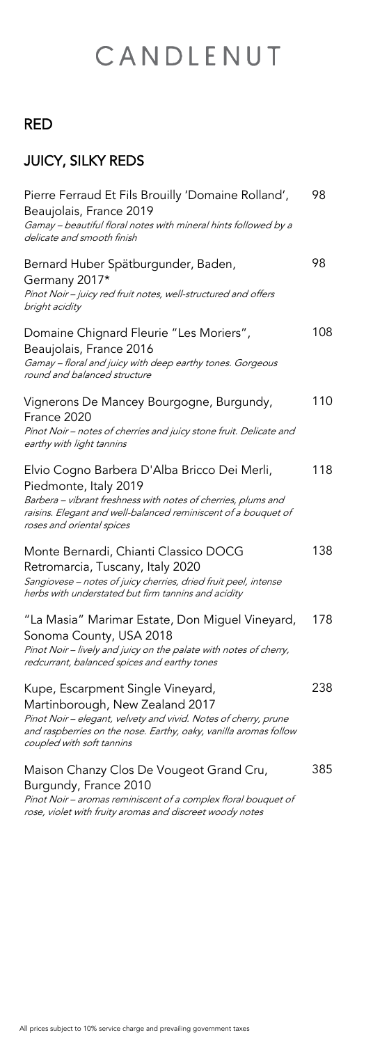## RED

## JUICY, SILKY REDS

| Pierre Ferraud Et Fils Brouilly 'Domaine Rolland',<br>Beaujolais, France 2019<br>Gamay - beautiful floral notes with mineral hints followed by a<br>delicate and smooth finish                                                           | 98  |
|------------------------------------------------------------------------------------------------------------------------------------------------------------------------------------------------------------------------------------------|-----|
| Bernard Huber Spätburgunder, Baden,<br>Germany 2017*<br>Pinot Noir - juicy red fruit notes, well-structured and offers<br>bright acidity                                                                                                 | 98  |
| Domaine Chignard Fleurie "Les Moriers",<br>Beaujolais, France 2016<br>Gamay - floral and juicy with deep earthy tones. Gorgeous<br>round and balanced structure                                                                          | 108 |
| Vignerons De Mancey Bourgogne, Burgundy,<br>France 2020<br>Pinot Noir - notes of cherries and juicy stone fruit. Delicate and<br>earthy with light tannins                                                                               | 110 |
| Elvio Cogno Barbera D'Alba Bricco Dei Merli,<br>Piedmonte, Italy 2019<br>Barbera - vibrant freshness with notes of cherries, plums and<br>raisins. Elegant and well-balanced reminiscent of a bouquet of<br>roses and oriental spices    | 118 |
| Monte Bernardi, Chianti Classico DOCG<br>Retromarcia, Tuscany, Italy 2020<br>Sangiovese - notes of juicy cherries, dried fruit peel, intense<br>herbs with understated but firm tannins and acidity                                      | 138 |
| "La Masia" Marimar Estate, Don Miguel Vineyard,<br>Sonoma County, USA 2018<br>Pinot Noir - lively and juicy on the palate with notes of cherry,<br>redcurrant, balanced spices and earthy tones                                          | 178 |
| Kupe, Escarpment Single Vineyard,<br>Martinborough, New Zealand 2017<br>Pinot Noir - elegant, velvety and vivid. Notes of cherry, prune<br>and raspberries on the nose. Earthy, oaky, vanilla aromas follow<br>coupled with soft tannins | 238 |
| Maison Chanzy Clos De Vougeot Grand Cru,                                                                                                                                                                                                 | 385 |

### Burgundy, France 2010

Pinot Noir – aromas reminiscent of a complex floral bouquet of rose, violet with fruity aromas and discreet woody notes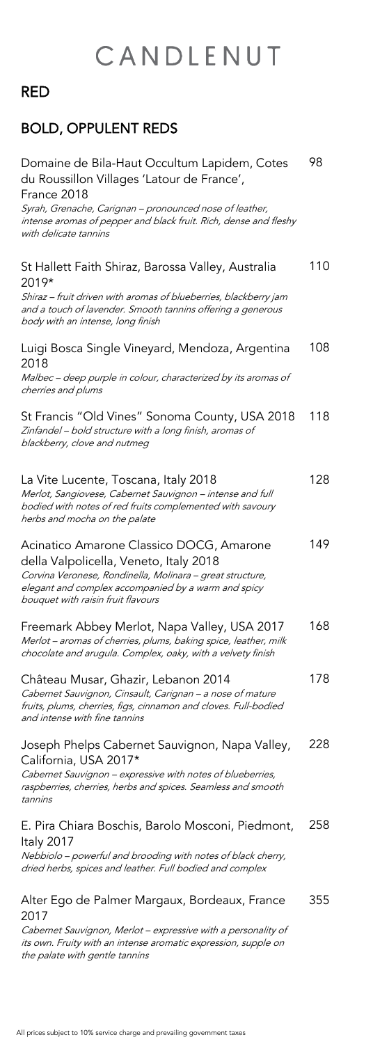## RED

## BOLD, OPPULENT REDS

| Domaine de Bila-Haut Occultum Lapidem, Cotes<br>du Roussillon Villages 'Latour de France',<br>France 2018<br>Syrah, Grenache, Carignan - pronounced nose of leather,<br>intense aromas of pepper and black fruit. Rich, dense and fleshy<br>with delicate tannins | 98  |
|-------------------------------------------------------------------------------------------------------------------------------------------------------------------------------------------------------------------------------------------------------------------|-----|
| St Hallett Faith Shiraz, Barossa Valley, Australia<br>2019*<br>Shiraz - fruit driven with aromas of blueberries, blackberry jam<br>and a touch of lavender. Smooth tannins offering a generous<br>body with an intense, long finish                               | 110 |
| Luigi Bosca Single Vineyard, Mendoza, Argentina<br>2018<br>Malbec – deep purple in colour, characterized by its aromas of<br>cherries and plums                                                                                                                   | 108 |
| St Francis "Old Vines" Sonoma County, USA 2018<br>Zinfandel - bold structure with a long finish, aromas of<br>blackberry, clove and nutmeg                                                                                                                        | 118 |
| La Vite Lucente, Toscana, Italy 2018<br>Merlot, Sangiovese, Cabernet Sauvignon - intense and full<br>bodied with notes of red fruits complemented with savoury<br>herbs and mocha on the palate                                                                   | 128 |
| Acinatico Amarone Classico DOCG, Amarone<br>della Valpolicella, Veneto, Italy 2018<br>Corvina Veronese, Rondinella, Molinara - great structure,<br>elegant and complex accompanied by a warm and spicy<br>bouquet with raisin fruit flavours                      | 149 |
| Freemark Abbey Merlot, Napa Valley, USA 2017<br>Merlot - aromas of cherries, plums, baking spice, leather, milk<br>chocolate and arugula. Complex, oaky, with a velvety finish                                                                                    | 168 |
| Château Musar, Ghazir, Lebanon 2014<br>Cabernet Sauvignon, Cinsault, Carignan - a nose of mature<br>fruits, plums, cherries, figs, cinnamon and cloves. Full-bodied<br>and intense with fine tannins                                                              | 178 |
| Joseph Phelps Cabernet Sauvignon, Napa Valley,<br>California, USA 2017*                                                                                                                                                                                           | 228 |

Cabernet Sauvignon – expressive with notes of blueberries, raspberries, cherries, herbs and spices. Seamless and smooth

tannins

#### E. Pira Chiara Boschis, Barolo Mosconi, Piedmont, Italy 2017 258

Nebbiolo – powerful and brooding with notes of black cherry, dried herbs, spices and leather. Full bodied and complex

#### Alter Ego de Palmer Margaux, Bordeaux, France 2017 355

Cabernet Sauvignon, Merlot – expressive with a personality of its own. Fruity with an intense aromatic expression, supple on the palate with gentle tannins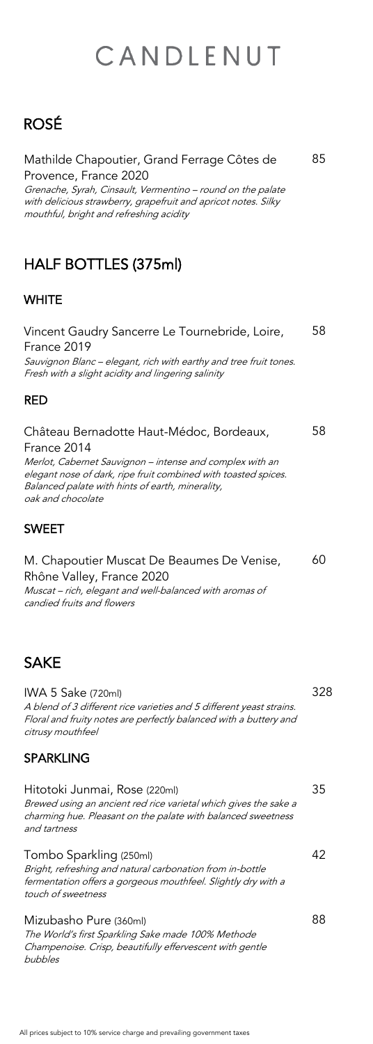## ROSÉ

#### Mathilde Chapoutier, Grand Ferrage Côtes de Provence, France 2020

Grenache, Syrah, Cinsault, Vermentino – round on the palate with delicious strawberry, grapefruit and apricot notes. Silky mouthful, bright and refreshing acidity

85

## HALF BOTTLES (375ml)

### **WHITE**

| Vincent Gaudry Sancerre Le Tournebride, Loire,<br>France 2019<br>Sauvignon Blanc – elegant, rich with earthy and tree fruit tones.<br>Fresh with a slight acidity and lingering salinity                                                                       | 58  |
|----------------------------------------------------------------------------------------------------------------------------------------------------------------------------------------------------------------------------------------------------------------|-----|
| <b>RED</b>                                                                                                                                                                                                                                                     |     |
| Château Bernadotte Haut-Médoc, Bordeaux,<br>France 2014<br>Merlot, Cabernet Sauvignon - intense and complex with an<br>elegant nose of dark, ripe fruit combined with toasted spices.<br>Balanced palate with hints of earth, minerality,<br>oak and chocolate | 58. |
| <b>SWEET</b>                                                                                                                                                                                                                                                   |     |

M. Chapoutier Muscat De Beaumes De Venise, Rhône Valley, France 2020 Muscat – rich, elegant and well-balanced with aromas of candied fruits and flowers 60

## **SAKE**

IWA 5 Sake (720ml) A blend of 3 different rice varieties and 5 different yeast strains. Floral and fruity notes are perfectly balanced with a buttery and citrusy mouthfeel

328

#### SPARKLING

#### Hitotoki Junmai, Rose (220ml)

Brewed using an ancient red rice varietal which gives the sake a charming hue. Pleasant on the palate with balanced sweetness and tartness

#### Tombo Sparkling (250ml)

Bright, refreshing and natural carbonation from in-bottle fermentation offers a gorgeous mouthfeel. Slightly dry with a touch of sweetness

#### 42

#### Mizubasho Pure (360ml)

The World's first Sparkling Sake made 100% Methode Champenoise. Crisp, beautifully effervescent with gentle bubbles

88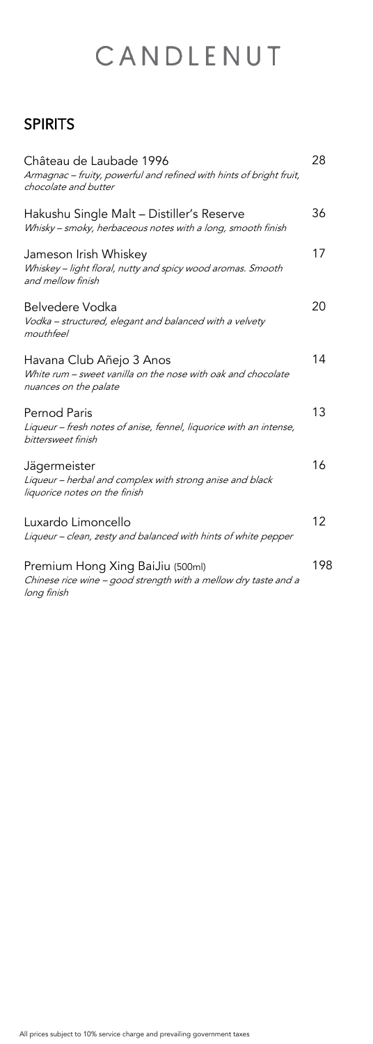## SPIRITS

| Château de Laubade 1996<br>Armagnac - fruity, powerful and refined with hints of bright fruit,<br>chocolate and butter | 28  |
|------------------------------------------------------------------------------------------------------------------------|-----|
| Hakushu Single Malt - Distiller's Reserve<br>Whisky - smoky, herbaceous notes with a long, smooth finish               | 36  |
| Jameson Irish Whiskey<br>Whiskey - light floral, nutty and spicy wood aromas. Smooth<br>and mellow finish              | 17  |
| <b>Belvedere Vodka</b><br>Vodka - structured, elegant and balanced with a velvety<br>mouthfeel                         | 20  |
| Havana Club Añejo 3 Anos<br>White rum - sweet vanilla on the nose with oak and chocolate<br>nuances on the palate      | 14  |
| <b>Pernod Paris</b><br>Liqueur – fresh notes of anise, fennel, liquorice with an intense,<br>bittersweet finish        | 13  |
| Jägermeister<br>Liqueur - herbal and complex with strong anise and black<br>liquorice notes on the finish              | 16  |
| Luxardo Limoncello<br>Liqueur – clean, zesty and balanced with hints of white pepper                                   | 12  |
| Premium Hong Xing BaiJiu (500ml)<br>Chinese rice wine - good strength with a mellow dry taste and a<br>long finish     | 198 |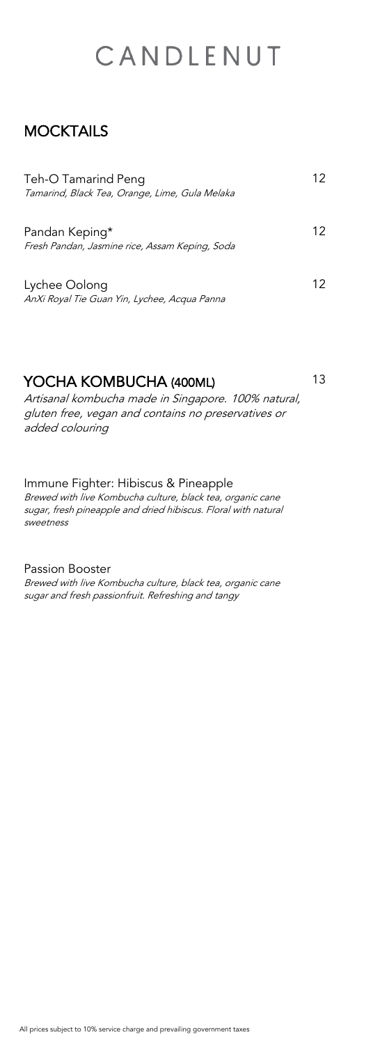### **MOCKTAILS**

| Teh-O Tamarind Peng<br>Tamarind, Black Tea, Orange, Lime, Gula Melaka | 12 |
|-----------------------------------------------------------------------|----|
| Pandan Keping*<br>Fresh Pandan, Jasmine rice, Assam Keping, Soda      | 12 |
| Lychee Oolong<br>AnXi Royal Tie Guan Yin, Lychee, Acqua Panna         | 12 |

| YOCHA KOMBUCHA (400ML)                              | 13 |
|-----------------------------------------------------|----|
| Artisanal kombucha made in Singapore. 100% natural, |    |
| aluten free vegan and contains no presentatives or  |    |

<sup>g</sup>luten free, vegan and contains no preservatives or added colouring

Immune Fighter: Hibiscus & Pineapple

Brewed with live Kombucha culture, black tea, organic cane sugar, fresh pineapple and dried hibiscus. Floral with natural sweetness

Passion Booster

Brewed with live Kombucha culture, black tea, organic cane sugar and fresh passionfruit. Refreshing and tangy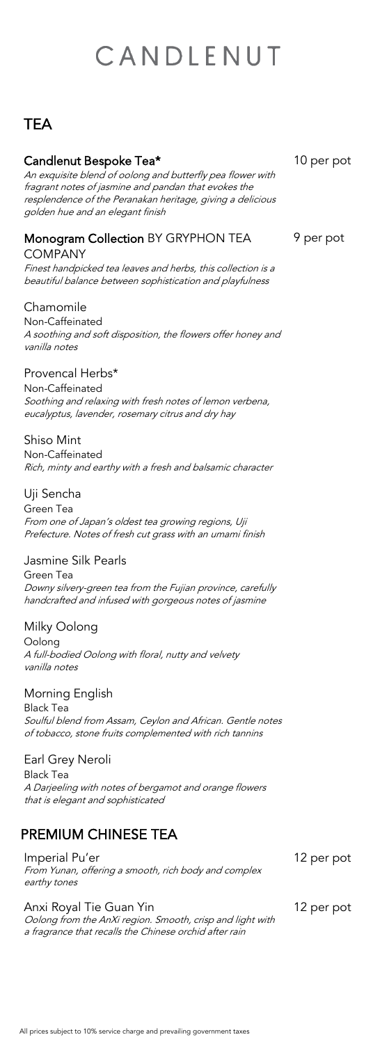### **TEA**

#### Candlenut Bespoke Tea\*

An exquisite blend of oolong and butterfly pea flower with fragrant notes of jasmine and pandan that evokes the resplendence of the Peranakan heritage, giving a delicious golden hue and an elegant finish

10 per pot

#### Monogram Collection BY GRYPHON TEA COMPANY

Finest handpicked tea leaves and herbs, this collection is a beautiful balance between sophistication and playfulness

9 per pot

#### Chamomile

Non-Caffeinated A soothing and soft disposition, the flowers offer honey and vanilla notes

#### Provencal Herbs\*

Non-Caffeinated Soothing and relaxing with fresh notes of lemon verbena, eucalyptus, lavender, rosemary citrus and dry hay

#### Shiso Mint

Non-Caffeinated Rich, minty and earthy with a fresh and balsamic character

#### Uji Sencha

Green Tea From one of Japan's oldest tea growing regions, Uji Prefecture. Notes of fresh cut grass with an umami finish

#### Jasmine Silk Pearls

Green Tea Downy silvery-green tea from the Fujian province, carefully handcrafted and infused with gorgeous notes of jasmine

#### Milky Oolong

Oolong A full-bodied Oolong with floral, nutty and velvety vanilla notes

#### Morning English

Black Tea Soulful blend from Assam, Ceylon and African. Gentle notes of tobacco, stone fruits complemented with rich tannins

#### Earl Grey Neroli

Black Tea A Darjeeling with notes of bergamot and orange flowers that is elegant and sophisticated

### PREMIUM CHINESE TEA

Imperial Pu'er From Yunan, offering a smooth, rich body and complex earthy tones

12 per pot

Anxi Royal Tie Guan Yin Oolong from the AnXi region. Smooth, crisp and light with a fragrance that recalls the Chinese orchid after rain

12 per pot